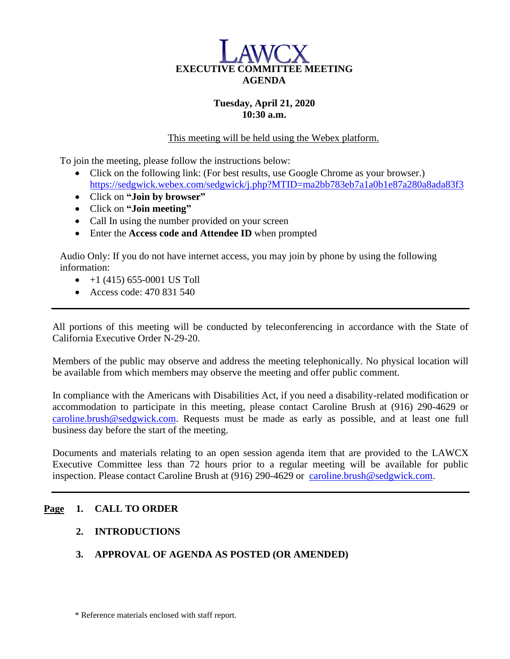

## **Tuesday, April 21, 2020 10:30 a.m.**

This meeting will be held using the Webex platform.

To join the meeting, please follow the instructions below:

- Click on the following link: (For best results, use Google Chrome as your browser.) <https://sedgwick.webex.com/sedgwick/j.php?MTID=ma2bb783eb7a1a0b1e87a280a8ada83f3>
- Click on **"Join by browser"**
- Click on **"Join meeting"**
- Call In using the number provided on your screen
- Enter the **Access code and Attendee ID** when prompted

Audio Only: If you do not have internet access, you may join by phone by using the following information:

- $\bullet$  +1 (415) 655-0001 US Toll
- Access code: 470 831 540

All portions of this meeting will be conducted by teleconferencing in accordance with the State of California Executive Order N-29-20.

Members of the public may observe and address the meeting telephonically. No physical location will be available from which members may observe the meeting and offer public comment.

In compliance with the Americans with Disabilities Act, if you need a disability-related modification or accommodation to participate in this meeting, please contact Caroline Brush at (916) 290-4629 or [caroline.brush@sedgwick.com.](mailto:caroline.brush@sedgwick.com) Requests must be made as early as possible, and at least one full business day before the start of the meeting.

Documents and materials relating to an open session agenda item that are provided to the LAWCX Executive Committee less than 72 hours prior to a regular meeting will be available for public inspection. Please contact Caroline Brush at (916) 290-4629 or [caroline.brush@sedgwick.com.](mailto:caroline.brush@sedgwick.com)

### **Page 1. CALL TO ORDER**

- **2. INTRODUCTIONS**
- **3. APPROVAL OF AGENDA AS POSTED (OR AMENDED)**

\* Reference materials enclosed with staff report.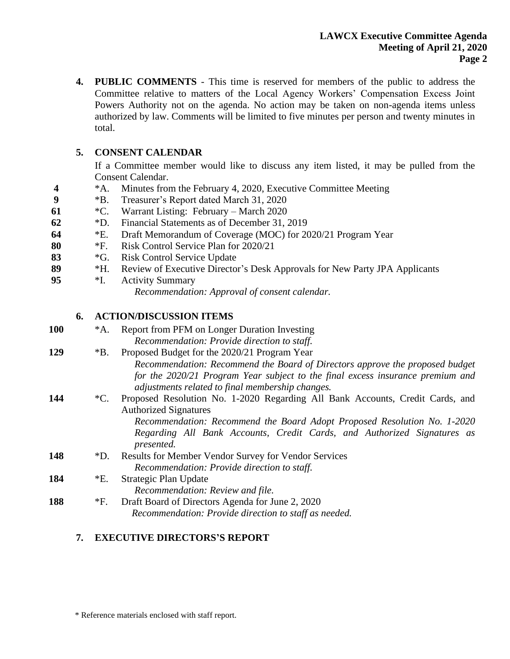**4. PUBLIC COMMENTS** - This time is reserved for members of the public to address the Committee relative to matters of the Local Agency Workers' Compensation Excess Joint Powers Authority not on the agenda. No action may be taken on non-agenda items unless authorized by law. Comments will be limited to five minutes per person and twenty minutes in total.

## **5. CONSENT CALENDAR**

If a Committee member would like to discuss any item listed, it may be pulled from the Consent Calendar.

- **4** \*A. Minutes from the February 4, 2020, Executive Committee Meeting
- **9** \*B. Treasurer's Report dated March 31, 2020
- **61** \*C. Warrant Listing: February March 2020
- **62** \*D. Financial Statements as of December 31, 2019
- **64** \*E. Draft Memorandum of Coverage (MOC) for 2020/21 Program Year
- **80** \*F. Risk Control Service Plan for 2020/21
- **83** \*G. Risk Control Service Update
- **89** \*H. Review of Executive Director's Desk Approvals for New Party JPA Applicants
- **95** \*I. Activity Summary *Recommendation: Approval of consent calendar.*

## **6. ACTION/DISCUSSION ITEMS**

| 100 | $^*A.$      | Report from PFM on Longer Duration Investing                                          |
|-----|-------------|---------------------------------------------------------------------------------------|
|     |             | Recommendation: Provide direction to staff.                                           |
| 129 | $*B.$       | Proposed Budget for the 2020/21 Program Year                                          |
|     |             | Recommendation: Recommend the Board of Directors approve the proposed budget          |
|     |             | for the 2020/21 Program Year subject to the final excess insurance premium and        |
|     |             | adjustments related to final membership changes.                                      |
| 144 | $^{\ast}C.$ | Proposed Resolution No. 1-2020 Regarding All Bank Accounts, Credit Cards, and         |
|     |             | <b>Authorized Signatures</b>                                                          |
|     |             | Recommendation: Recommend the Board Adopt Proposed Resolution No. 1-2020              |
|     |             | Regarding All Bank Accounts, Credit Cards, and Authorized Signatures as<br>presented. |
| 148 | $\rm *D.$   | <b>Results for Member Vendor Survey for Vendor Services</b>                           |
|     |             | Recommendation: Provide direction to staff.                                           |
| 184 | $E$ .       | Strategic Plan Update                                                                 |
|     |             | Recommendation: Review and file.                                                      |
| 188 | $*F.$       | Draft Board of Directors Agenda for June 2, 2020                                      |
|     |             | Recommendation: Provide direction to staff as needed.                                 |
|     |             |                                                                                       |

# **7. EXECUTIVE DIRECTORS'S REPORT**

\* Reference materials enclosed with staff report.